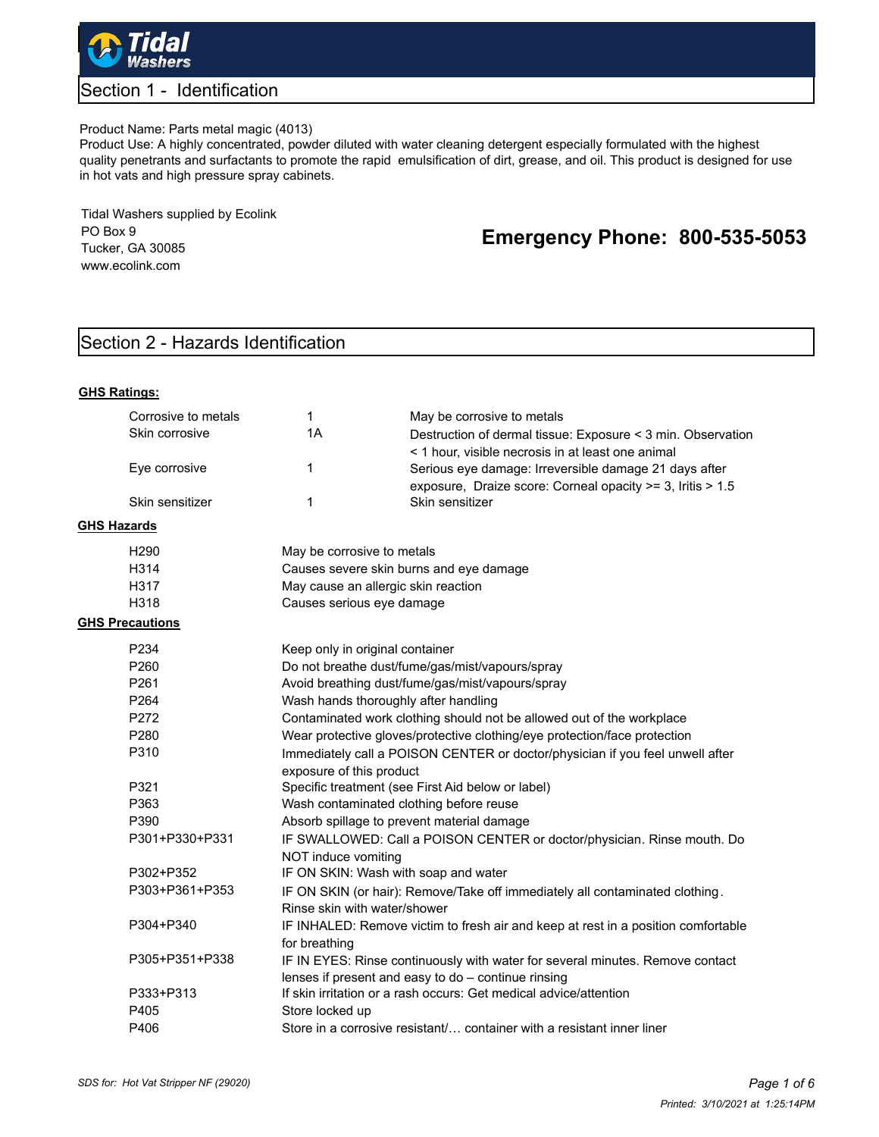

### Section 1 - Identification

### Product Name: Parts metal magic (4013)

Product Use: A highly concentrated, powder diluted with water cleaning detergent especially formulated with the highest quality penetrants and surfactants to promote the rapid emulsification of dirt, grease, and oil. This product is designed for use in hot vats and high pressure spray cabinets.

Tidal Washers supplied by Ecolink PO Box 9 Tucker, GA 30085 www.ecolink.com

# **Emergency Phone: 800-535-5053**

## Section 2 - Hazards Identification

| <b>GHS Ratings:</b>    |                                                                                                           |                                                                                                                                      |  |  |  |
|------------------------|-----------------------------------------------------------------------------------------------------------|--------------------------------------------------------------------------------------------------------------------------------------|--|--|--|
| Corrosive to metals    | $\mathbf{1}$                                                                                              | May be corrosive to metals                                                                                                           |  |  |  |
| Skin corrosive         | 1A                                                                                                        | Destruction of dermal tissue: Exposure < 3 min. Observation<br>< 1 hour, visible necrosis in at least one animal                     |  |  |  |
| Eye corrosive          | $\mathbf{1}$                                                                                              | Serious eye damage: Irreversible damage 21 days after<br>exposure, Draize score: Corneal opacity >= 3, Iritis > 1.5                  |  |  |  |
| Skin sensitizer        | 1                                                                                                         | Skin sensitizer                                                                                                                      |  |  |  |
| <b>GHS Hazards</b>     |                                                                                                           |                                                                                                                                      |  |  |  |
| H <sub>290</sub>       |                                                                                                           | May be corrosive to metals                                                                                                           |  |  |  |
| H314                   |                                                                                                           | Causes severe skin burns and eye damage                                                                                              |  |  |  |
| H317                   |                                                                                                           | May cause an allergic skin reaction                                                                                                  |  |  |  |
| H <sub>318</sub>       | Causes serious eye damage                                                                                 |                                                                                                                                      |  |  |  |
| <b>GHS Precautions</b> |                                                                                                           |                                                                                                                                      |  |  |  |
| P234                   |                                                                                                           | Keep only in original container                                                                                                      |  |  |  |
| P260                   |                                                                                                           | Do not breathe dust/fume/gas/mist/vapours/spray                                                                                      |  |  |  |
| P261                   | Avoid breathing dust/fume/gas/mist/vapours/spray                                                          |                                                                                                                                      |  |  |  |
| P <sub>264</sub>       |                                                                                                           | Wash hands thoroughly after handling                                                                                                 |  |  |  |
| P272                   |                                                                                                           | Contaminated work clothing should not be allowed out of the workplace                                                                |  |  |  |
| P <sub>280</sub>       |                                                                                                           | Wear protective gloves/protective clothing/eye protection/face protection                                                            |  |  |  |
| P310                   | Immediately call a POISON CENTER or doctor/physician if you feel unwell after<br>exposure of this product |                                                                                                                                      |  |  |  |
| P321                   |                                                                                                           |                                                                                                                                      |  |  |  |
| P363                   | Specific treatment (see First Aid below or label)<br>Wash contaminated clothing before reuse              |                                                                                                                                      |  |  |  |
| P390                   | Absorb spillage to prevent material damage                                                                |                                                                                                                                      |  |  |  |
| P301+P330+P331         | IF SWALLOWED: Call a POISON CENTER or doctor/physician. Rinse mouth. Do<br>NOT induce vomiting            |                                                                                                                                      |  |  |  |
| P302+P352              |                                                                                                           | IF ON SKIN: Wash with soap and water                                                                                                 |  |  |  |
| P303+P361+P353         |                                                                                                           | IF ON SKIN (or hair): Remove/Take off immediately all contaminated clothing.                                                         |  |  |  |
|                        | Rinse skin with water/shower                                                                              |                                                                                                                                      |  |  |  |
| P304+P340              | IF INHALED: Remove victim to fresh air and keep at rest in a position comfortable<br>for breathing        |                                                                                                                                      |  |  |  |
| P305+P351+P338         |                                                                                                           | IF IN EYES: Rinse continuously with water for several minutes. Remove contact<br>lenses if present and easy to do - continue rinsing |  |  |  |
| P333+P313              | If skin irritation or a rash occurs: Get medical advice/attention                                         |                                                                                                                                      |  |  |  |
| P405                   | Store locked up                                                                                           |                                                                                                                                      |  |  |  |
| P406                   | Store in a corrosive resistant/ container with a resistant inner liner                                    |                                                                                                                                      |  |  |  |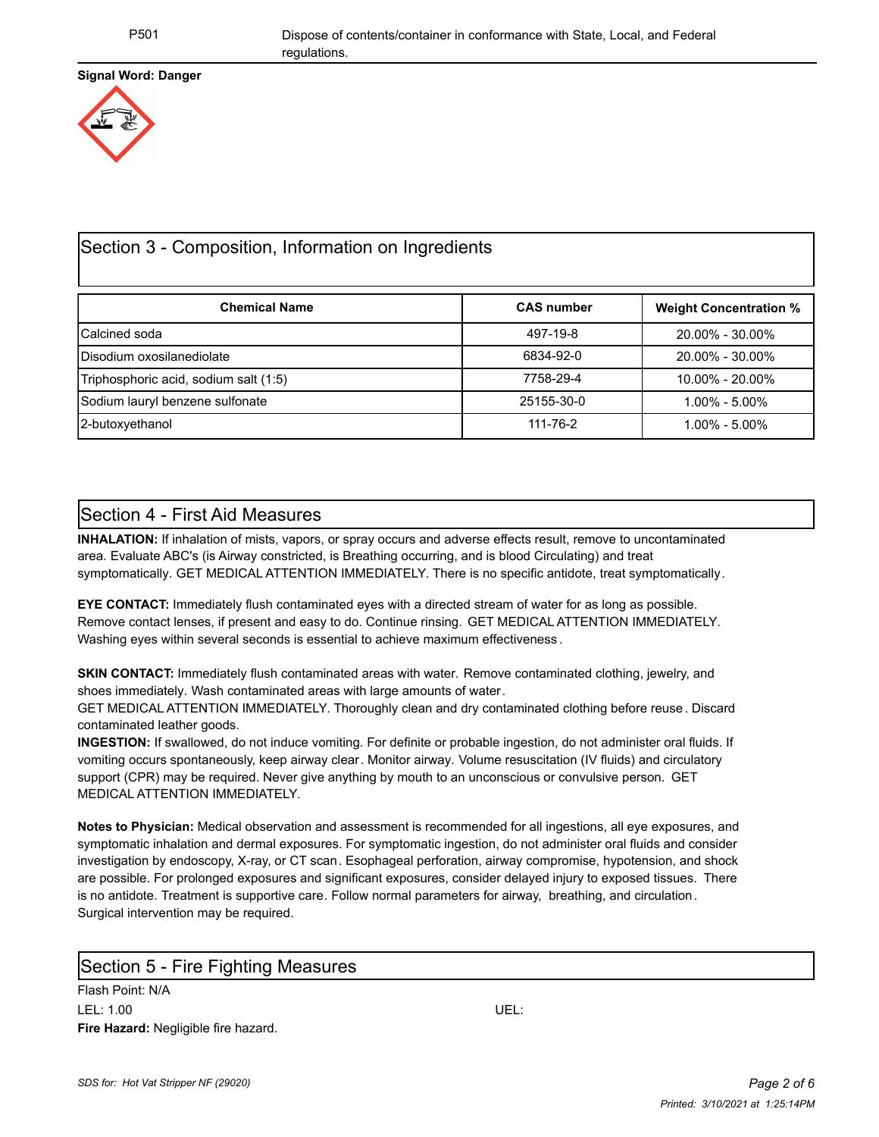### **Signal Word: Danger**



## Section 3 - Composition, Information on Ingredients

| <b>Chemical Name</b>                  | <b>CAS number</b> | <b>Weight Concentration %</b> |
|---------------------------------------|-------------------|-------------------------------|
| Calcined soda                         | 497-19-8          | 20.00% - 30.00%               |
| Disodium oxosilanediolate             | 6834-92-0         | 20.00% - 30.00%               |
| Triphosphoric acid, sodium salt (1:5) | 7758-29-4         | $10.00\% - 20.00\%$           |
| Sodium lauryl benzene sulfonate       | 25155-30-0        | $1.00\% - 5.00\%$             |
| 2-butoxyethanol                       | 111-76-2          | $1.00\% - 5.00\%$             |

### Section 4 - First Aid Measures

**INHALATION:** If inhalation of mists, vapors, or spray occurs and adverse effects result, remove to uncontaminated area. Evaluate ABC's (is Airway constricted, is Breathing occurring, and is blood Circulating) and treat symptomatically. GET MEDICAL ATTENTION IMMEDIATELY. There is no specific antidote, treat symptomatically.

**EYE CONTACT:** Immediately flush contaminated eyes with a directed stream of water for as long as possible. Remove contact lenses, if present and easy to do. Continue rinsing. GET MEDICAL ATTENTION IMMEDIATELY. Washing eyes within several seconds is essential to achieve maximum effectiveness .

**SKIN CONTACT:** Immediately flush contaminated areas with water. Remove contaminated clothing, jewelry, and shoes immediately. Wash contaminated areas with large amounts of water.

GET MEDICAL ATTENTION IMMEDIATELY. Thoroughly clean and dry contaminated clothing before reuse. Discard contaminated leather goods.

**INGESTION:** If swallowed, do not induce vomiting. For definite or probable ingestion, do not administer oral fluids. If vomiting occurs spontaneously, keep airway clear. Monitor airway. Volume resuscitation (IV fluids) and circulatory support (CPR) may be required. Never give anything by mouth to an unconscious or convulsive person. GET MEDICAL ATTENTION IMMEDIATELY.

**Notes to Physician:** Medical observation and assessment is recommended for all ingestions, all eye exposures, and symptomatic inhalation and dermal exposures. For symptomatic ingestion, do not administer oral fluids and consider investigation by endoscopy, X-ray, or CT scan. Esophageal perforation, airway compromise, hypotension, and shock are possible. For prolonged exposures and significant exposures, consider delayed injury to exposed tissues. There is no antidote. Treatment is supportive care. Follow normal parameters for airway, breathing, and circulation. Surgical intervention may be required.

### Section 5 - Fire Fighting Measures

Flash Point: N/A LEL: 1.00 UEL: **Fire Hazard:** Negligible fire hazard.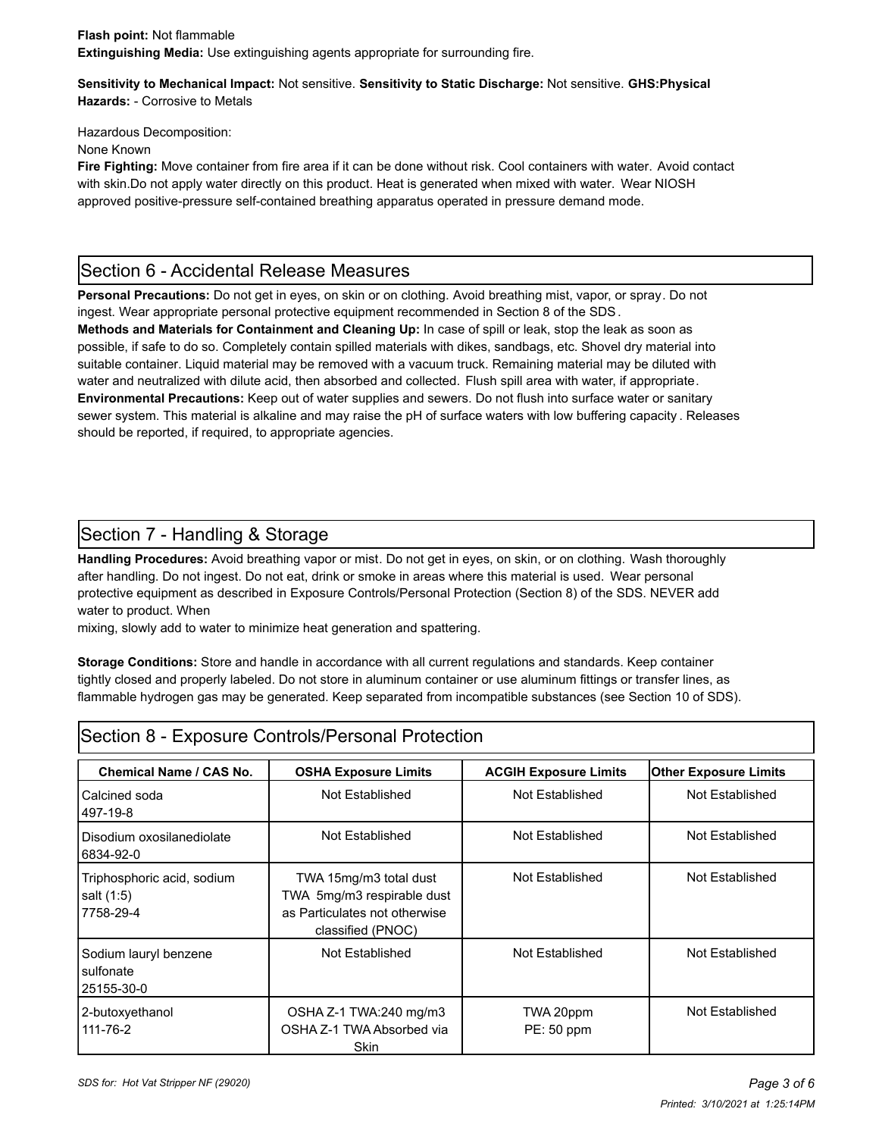**Sensitivity to Mechanical Impact:** Not sensitive. **Sensitivity to Static Discharge:** Not sensitive. **GHS:Physical Hazards:** - Corrosive to Metals

Hazardous Decomposition:

None Known

**Fire Fighting:** Move container from fire area if it can be done without risk. Cool containers with water. Avoid contact with skin.Do not apply water directly on this product. Heat is generated when mixed with water. Wear NIOSH approved positive-pressure self-contained breathing apparatus operated in pressure demand mode.

## Section 6 - Accidental Release Measures

**Personal Precautions:** Do not get in eyes, on skin or on clothing. Avoid breathing mist, vapor, or spray. Do not ingest. Wear appropriate personal protective equipment recommended in Section 8 of the SDS. **Methods and Materials for Containment and Cleaning Up:** In case of spill or leak, stop the leak as soon as possible, if safe to do so. Completely contain spilled materials with dikes, sandbags, etc. Shovel dry material into suitable container. Liquid material may be removed with a vacuum truck. Remaining material may be diluted with water and neutralized with dilute acid, then absorbed and collected. Flush spill area with water, if appropriate. **Environmental Precautions:** Keep out of water supplies and sewers. Do not flush into surface water or sanitary sewer system. This material is alkaline and may raise the pH of surface waters with low buffering capacity . Releases should be reported, if required, to appropriate agencies.

# Section 7 - Handling & Storage

**Handling Procedures:** Avoid breathing vapor or mist. Do not get in eyes, on skin, or on clothing. Wash thoroughly after handling. Do not ingest. Do not eat, drink or smoke in areas where this material is used. Wear personal protective equipment as described in Exposure Controls/Personal Protection (Section 8) of the SDS. NEVER add water to product. When

mixing, slowly add to water to minimize heat generation and spattering.

**Storage Conditions:** Store and handle in accordance with all current regulations and standards. Keep container tightly closed and properly labeled. Do not store in aluminum container or use aluminum fittings or transfer lines, as flammable hydrogen gas may be generated. Keep separated from incompatible substances (see Section 10 of SDS).

| Section 8 - Exposure Controls/Personal Protection     |                                                                                                            |                              |                              |  |  |  |
|-------------------------------------------------------|------------------------------------------------------------------------------------------------------------|------------------------------|------------------------------|--|--|--|
| <b>Chemical Name / CAS No.</b>                        | <b>OSHA Exposure Limits</b>                                                                                | <b>ACGIH Exposure Limits</b> | <b>Other Exposure Limits</b> |  |  |  |
| Calcined soda<br>497-19-8                             | Not Established                                                                                            | Not Established              | Not Established              |  |  |  |
| Disodium oxosilanediolate<br>6834-92-0                | Not Established                                                                                            | Not Established              | Not Established              |  |  |  |
| Triphosphoric acid, sodium<br>salt (1:5)<br>7758-29-4 | TWA 15mg/m3 total dust<br>TWA 5mg/m3 respirable dust<br>as Particulates not otherwise<br>classified (PNOC) | Not Established              | Not Established              |  |  |  |
| Sodium lauryl benzene<br>sulfonate<br>25155-30-0      | Not Established                                                                                            | Not Established              | Not Established              |  |  |  |
| 2-butoxyethanol<br>111-76-2                           | OSHA Z-1 TWA:240 mg/m3<br>OSHA Z-1 TWA Absorbed via<br><b>Skin</b>                                         | TWA 20ppm<br>PE: 50 ppm      | Not Established              |  |  |  |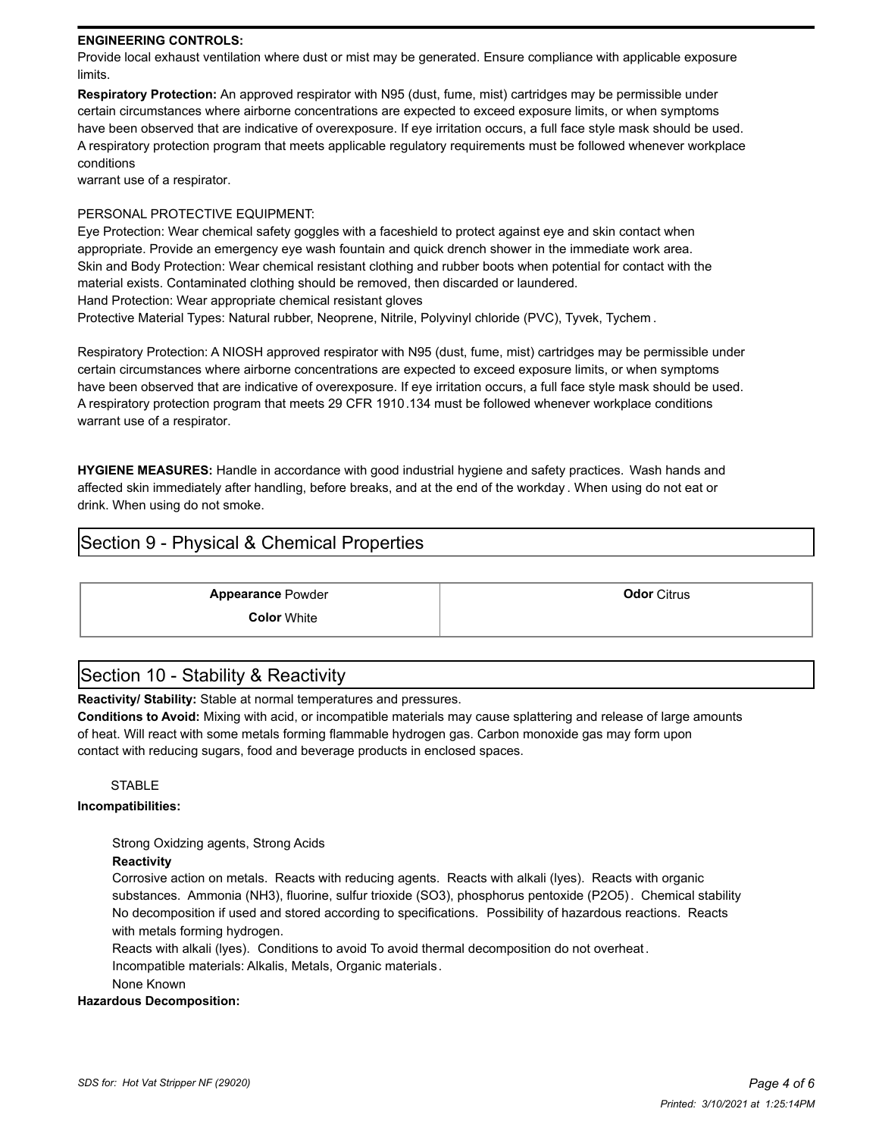#### **ENGINEERING CONTROLS:**

Provide local exhaust ventilation where dust or mist may be generated. Ensure compliance with applicable exposure limits.

**Respiratory Protection:** An approved respirator with N95 (dust, fume, mist) cartridges may be permissible under certain circumstances where airborne concentrations are expected to exceed exposure limits, or when symptoms have been observed that are indicative of overexposure. If eye irritation occurs, a full face style mask should be used. A respiratory protection program that meets applicable regulatory requirements must be followed whenever workplace conditions

warrant use of a respirator.

### PERSONAL PROTECTIVE EQUIPMENT:

Eye Protection: Wear chemical safety goggles with a faceshield to protect against eye and skin contact when appropriate. Provide an emergency eye wash fountain and quick drench shower in the immediate work area. Skin and Body Protection: Wear chemical resistant clothing and rubber boots when potential for contact with the material exists. Contaminated clothing should be removed, then discarded or laundered. Hand Protection: Wear appropriate chemical resistant gloves

Protective Material Types: Natural rubber, Neoprene, Nitrile, Polyvinyl chloride (PVC), Tyvek, Tychem .

Respiratory Protection: A NIOSH approved respirator with N95 (dust, fume, mist) cartridges may be permissible under certain circumstances where airborne concentrations are expected to exceed exposure limits, or when symptoms have been observed that are indicative of overexposure. If eye irritation occurs, a full face style mask should be used. A respiratory protection program that meets 29 CFR 1910.134 must be followed whenever workplace conditions warrant use of a respirator.

**HYGIENE MEASURES:** Handle in accordance with good industrial hygiene and safety practices. Wash hands and affected skin immediately after handling, before breaks, and at the end of the workday . When using do not eat or drink. When using do not smoke.

### Section 9 - Physical & Chemical Properties

**Appearance** Powder **Constanting Constanting Constanting Constanting Constanting Constanting Constanting Constanting Constanting Constanting Constanting Constanting Constanting Constanting Constanting Constanting Constanti Color** White

### Section 10 - Stability & Reactivity

**Reactivity/ Stability:** Stable at normal temperatures and pressures.

**Conditions to Avoid:** Mixing with acid, or incompatible materials may cause splattering and release of large amounts of heat. Will react with some metals forming flammable hydrogen gas. Carbon monoxide gas may form upon contact with reducing sugars, food and beverage products in enclosed spaces.

#### STABLE

#### **Incompatibilities:**

Strong Oxidzing agents, Strong Acids

#### **Reactivity**

Corrosive action on metals. Reacts with reducing agents. Reacts with alkali (lyes). Reacts with organic substances. Ammonia (NH3), fluorine, sulfur trioxide (SO3), phosphorus pentoxide (P2O5). Chemical stability No decomposition if used and stored according to specifications.Possibility of hazardous reactions. Reacts with metals forming hydrogen.

Reacts with alkali (lyes). Conditions to avoid To avoid thermal decomposition do not overheat.

Incompatible materials: Alkalis, Metals, Organic materials.

None Known

#### **Hazardous Decomposition:**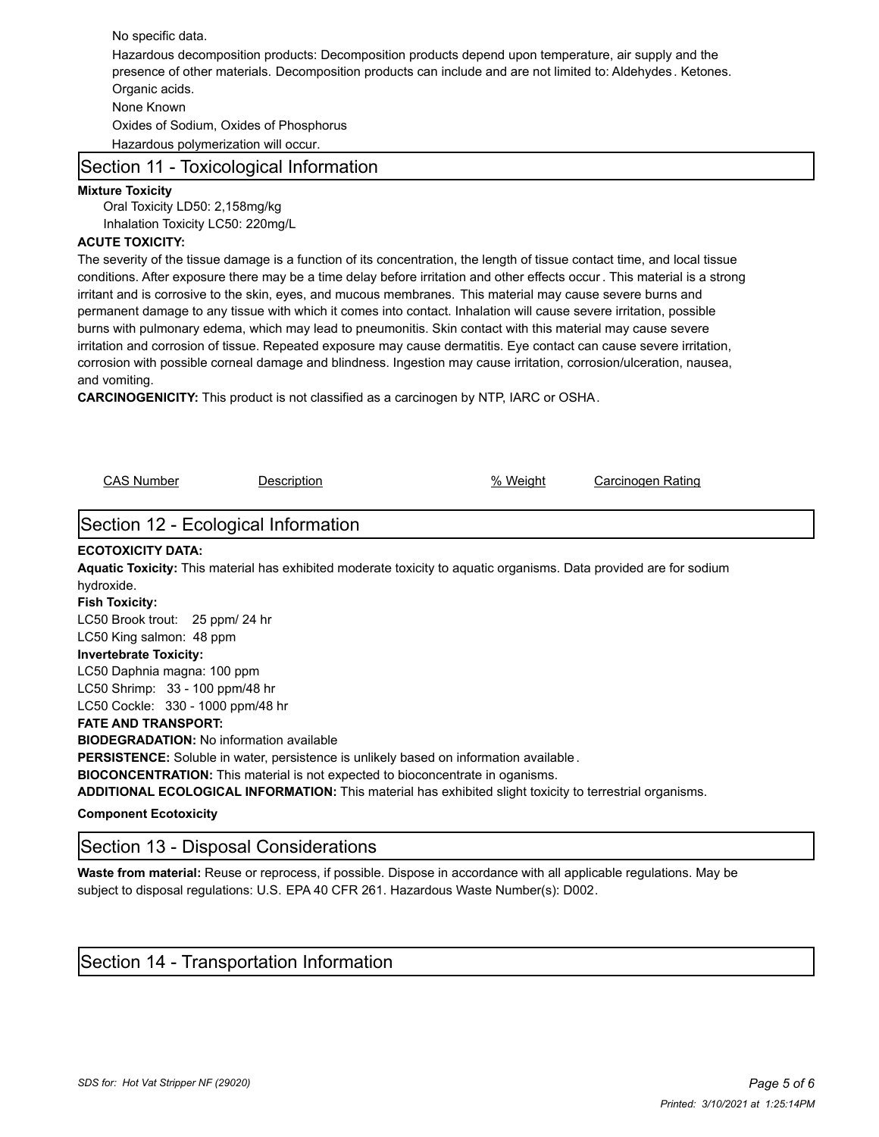No specific data. Hazardous decomposition products: Decomposition products depend upon temperature, air supply and the presence of other materials. Decomposition products can include and are not limited to: Aldehydes . Ketones. Organic acids. None Known Oxides of Sodium, Oxides of Phosphorus Hazardous polymerization will occur.

### Section 11 - Toxicological Information

#### **Mixture Toxicity**

Oral Toxicity LD50: 2,158mg/kg Inhalation Toxicity LC50: 220mg/L

### **ACUTE TOXICITY:**

The severity of the tissue damage is a function of its concentration, the length of tissue contact time, and local tissue conditions. After exposure there may be a time delay before irritation and other effects occur . This material is a strong irritant and is corrosive to the skin, eyes, and mucous membranes. This material may cause severe burns and permanent damage to any tissue with which it comes into contact. Inhalation will cause severe irritation, possible burns with pulmonary edema, which may lead to pneumonitis. Skin contact with this material may cause severe irritation and corrosion of tissue. Repeated exposure may cause dermatitis. Eye contact can cause severe irritation, corrosion with possible corneal damage and blindness. Ingestion may cause irritation, corrosion/ulceration, nausea, and vomiting.

**CARCINOGENICITY:** This product is not classified as a carcinogen by NTP, IARC or OSHA.

CAS Number Description % Weight Carcinogen Rating Section 12 - Ecological Information **ECOTOXICITY DATA: Aquatic Toxicity:** This material has exhibited moderate toxicity to aquatic organisms. Data provided are for sodium hydroxide. **Fish Toxicity:** LC50 Brook trout: 25 ppm/ 24 hr LC50 King salmon: 48 ppm **Invertebrate Toxicity:** LC50 Daphnia magna: 100 ppm LC50 Shrimp: 33 - 100 ppm/48 hr LC50 Cockle: 330 - 1000 ppm/48 hr **FATE AND TRANSPORT: BIODEGRADATION:** No information available **PERSISTENCE:** Soluble in water, persistence is unlikely based on information available . **BIOCONCENTRATION:** This material is not expected to bioconcentrate in oganisms. **ADDITIONAL ECOLOGICAL INFORMATION:** This material has exhibited slight toxicity to terrestrial organisms. **Component Ecotoxicity**

Section 13 - Disposal Considerations

**Waste from material:** Reuse or reprocess, if possible. Dispose in accordance with all applicable regulations. May be subject to disposal regulations: U.S. EPA 40 CFR 261. Hazardous Waste Number(s): D002.

### Section 14 - Transportation Information